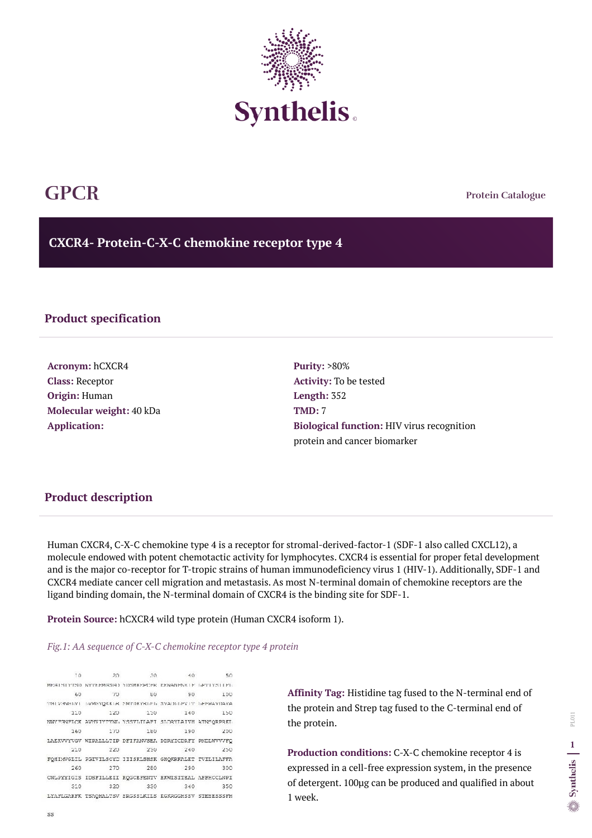**Protein Catalogue**

**CXCR4- Protein-C-X-C chemokine receptor type 4**



## **GPCR**

## **Product specification**

**Acronym:** hCXCR4 **Class:** Receptor **Origin:** Human **Molecular weight:** 40 kDa **Application:**

**Purity:** >80% **Activity:** To be tested **Length:** 352 **TMD:** 7 **Biological function:** HIV virus recognition protein and cancer biomarker

Human CXCR4, C-X-C chemokine type 4 is a receptor for stromal-derived-factor-1 (SDF-1 also called CXCL12), a molecule endowed with potent chemotactic activity for lymphocytes. CXCR4 is essential for proper fetal development and is the major co-receptor for T-tropic strains of human immunodeficiency virus 1 (HIV-1). Additionally, SDF-1 and CXCR4 mediate cancer cell migration and metastasis. As most N-terminal domain of chemokine receptors are the ligand binding domain, the N-terminal domain of CXCR4 is the binding site for SDF-1.

**Protein Source:** hCXCR4 wild type protein (Human CXCR4 isoform 1).

## *Fig.1: AA sequence of C-X-C chemokine receptor type 4 protein*

 $10$  $20 - 7$  $30.$  $40^{\circ}$ 50 MEGISTYSD NYTERMGSGD YDSMKEPURE EENANFNKIF GPTIYSTEPL  $60$  $70^{\circ}$ HO.  $90$ 100 THIVENEDYI DVMEYQKKDR SMTDKYRDED SVADLDFVIT DEFWAYDAVA 110 120 130 140 150 NWYERNELCK AVHVIYTVNL YSSVLILAFI SLORYLAIVH ATNSQRPRKL 160 170 180 190 200 LAEKVVYVGV WIPALLLTIP DFIFANVSEA DDRYICDRFY PNDLWVVVFO 210 220 230 240 250 FQHIMVGLIL PGIVILSCYC IIISKLSHSK GHQKRKALKT TVILILAFFA 260 270 280 290 300 CWLPYYIGIS IDSFILLEII KQGCEFENTV HKWISITEAL AFFHCCLNPI 320 330 340 310 350 LYAFLGAKFK TSAQHALTSV SRGSSLKILS KGKRGGHSSV STESESSSFH

**Affinity Tag:** Histidine tag fused to the N-terminal end of the protein and Strep tag fused to the C-terminal end of the protein.

**Production conditions:** C-X-C chemokine receptor 4 is expressed in a cell-free expression system, in the presence of detergent. 100µg can be produced and qualified in about 1 week.